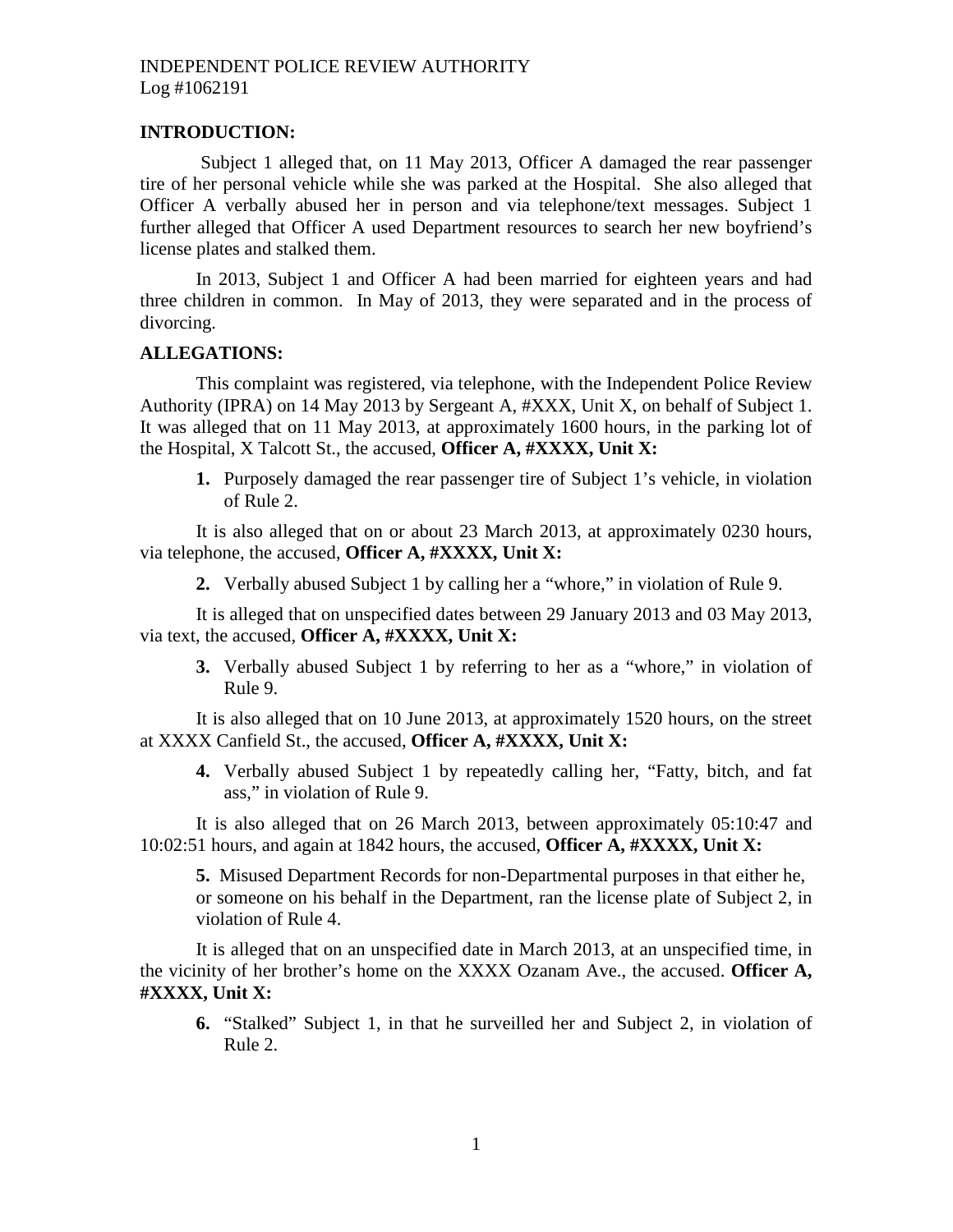#### **INTRODUCTION:**

Subject 1 alleged that, on 11 May 2013, Officer A damaged the rear passenger tire of her personal vehicle while she was parked at the Hospital. She also alleged that Officer A verbally abused her in person and via telephone/text messages. Subject 1 further alleged that Officer A used Department resources to search her new boyfriend's license plates and stalked them.

In 2013, Subject 1 and Officer A had been married for eighteen years and had three children in common. In May of 2013, they were separated and in the process of divorcing.

#### **ALLEGATIONS:**

This complaint was registered, via telephone, with the Independent Police Review Authority (IPRA) on 14 May 2013 by Sergeant A, #XXX, Unit X, on behalf of Subject 1. It was alleged that on 11 May 2013, at approximately 1600 hours, in the parking lot of the Hospital, X Talcott St., the accused, **Officer A, #XXXX, Unit X:**

**1.** Purposely damaged the rear passenger tire of Subject 1's vehicle, in violation of Rule 2.

It is also alleged that on or about 23 March 2013, at approximately 0230 hours, via telephone, the accused, **Officer A, #XXXX, Unit X:**

**2.** Verbally abused Subject 1 by calling her a "whore," in violation of Rule 9.

It is alleged that on unspecified dates between 29 January 2013 and 03 May 2013, via text, the accused, **Officer A, #XXXX, Unit X:**

**3.** Verbally abused Subject 1 by referring to her as a "whore," in violation of Rule 9.

It is also alleged that on 10 June 2013, at approximately 1520 hours, on the street at XXXX Canfield St., the accused, **Officer A, #XXXX, Unit X:**

**4.** Verbally abused Subject 1 by repeatedly calling her, "Fatty, bitch, and fat ass," in violation of Rule 9.

It is also alleged that on 26 March 2013, between approximately 05:10:47 and 10:02:51 hours, and again at 1842 hours, the accused, **Officer A, #XXXX, Unit X:**

**5.** Misused Department Records for non-Departmental purposes in that either he, or someone on his behalf in the Department, ran the license plate of Subject 2, in violation of Rule 4.

It is alleged that on an unspecified date in March 2013, at an unspecified time, in the vicinity of her brother's home on the XXXX Ozanam Ave., the accused. **Officer A, #XXXX, Unit X:**

**6.** "Stalked" Subject 1, in that he surveilled her and Subject 2, in violation of Rule 2.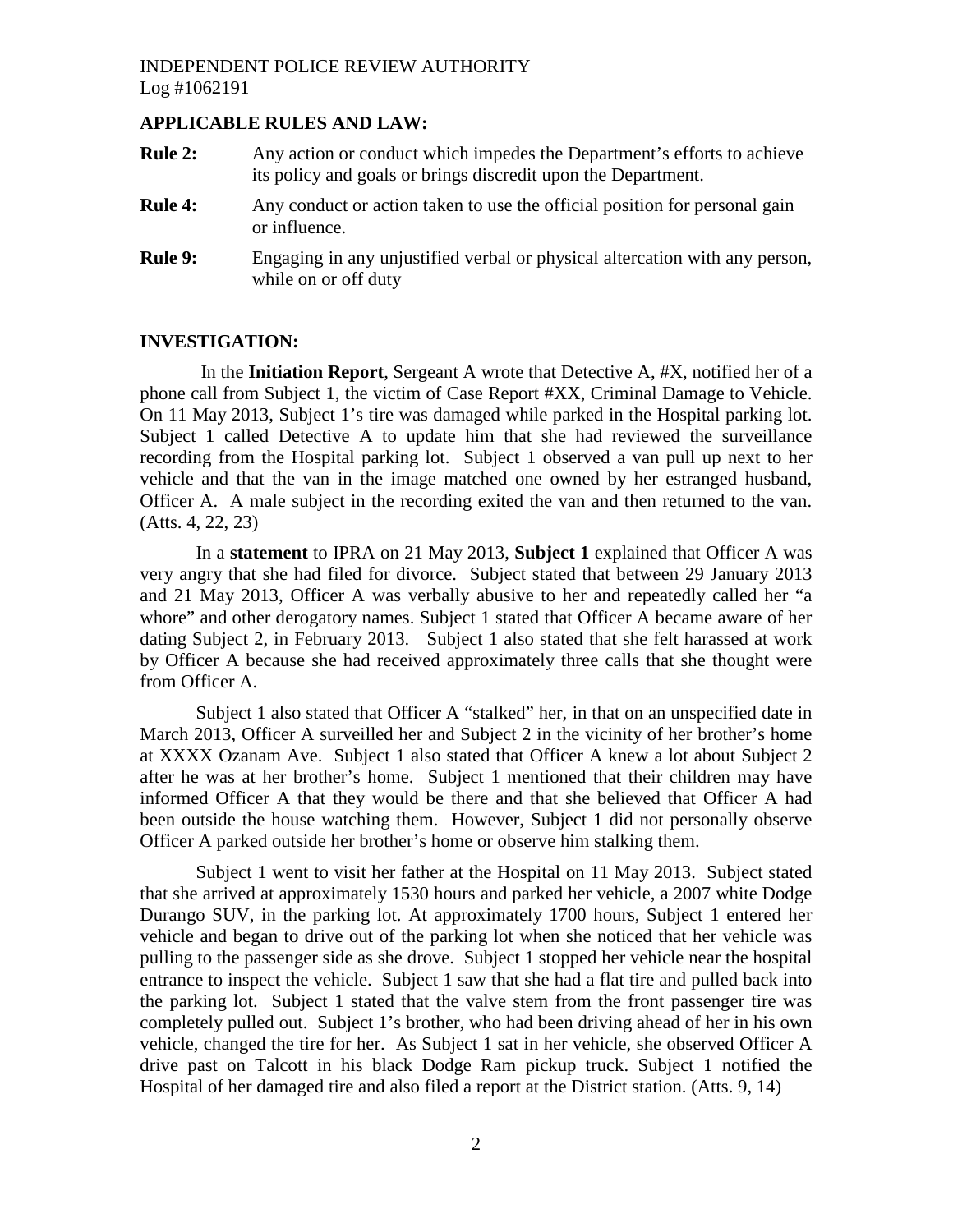## **APPLICABLE RULES AND LAW:**

- **Rule 2:** Any action or conduct which impedes the Department's efforts to achieve its policy and goals or brings discredit upon the Department.
- **Rule 4:** Any conduct or action taken to use the official position for personal gain or influence.
- **Rule 9:** Engaging in any unjustified verbal or physical altercation with any person, while on or off duty

#### **INVESTIGATION:**

In the **Initiation Report**, Sergeant A wrote that Detective A, #X, notified her of a phone call from Subject 1, the victim of Case Report #XX, Criminal Damage to Vehicle. On 11 May 2013, Subject 1's tire was damaged while parked in the Hospital parking lot. Subject 1 called Detective A to update him that she had reviewed the surveillance recording from the Hospital parking lot. Subject 1 observed a van pull up next to her vehicle and that the van in the image matched one owned by her estranged husband, Officer A. A male subject in the recording exited the van and then returned to the van. (Atts. 4, 22, 23)

In a **statement** to IPRA on 21 May 2013, **Subject 1** explained that Officer A was very angry that she had filed for divorce. Subject stated that between 29 January 2013 and 21 May 2013, Officer A was verbally abusive to her and repeatedly called her "a whore" and other derogatory names. Subject 1 stated that Officer A became aware of her dating Subject 2, in February 2013. Subject 1 also stated that she felt harassed at work by Officer A because she had received approximately three calls that she thought were from Officer A.

Subject 1 also stated that Officer A "stalked" her, in that on an unspecified date in March 2013, Officer A surveilled her and Subject 2 in the vicinity of her brother's home at XXXX Ozanam Ave. Subject 1 also stated that Officer A knew a lot about Subject 2 after he was at her brother's home. Subject 1 mentioned that their children may have informed Officer A that they would be there and that she believed that Officer A had been outside the house watching them. However, Subject 1 did not personally observe Officer A parked outside her brother's home or observe him stalking them.

Subject 1 went to visit her father at the Hospital on 11 May 2013. Subject stated that she arrived at approximately 1530 hours and parked her vehicle, a 2007 white Dodge Durango SUV, in the parking lot. At approximately 1700 hours, Subject 1 entered her vehicle and began to drive out of the parking lot when she noticed that her vehicle was pulling to the passenger side as she drove. Subject 1 stopped her vehicle near the hospital entrance to inspect the vehicle. Subject 1 saw that she had a flat tire and pulled back into the parking lot. Subject 1 stated that the valve stem from the front passenger tire was completely pulled out. Subject 1's brother, who had been driving ahead of her in his own vehicle, changed the tire for her. As Subject 1 sat in her vehicle, she observed Officer A drive past on Talcott in his black Dodge Ram pickup truck. Subject 1 notified the Hospital of her damaged tire and also filed a report at the District station. (Atts. 9, 14)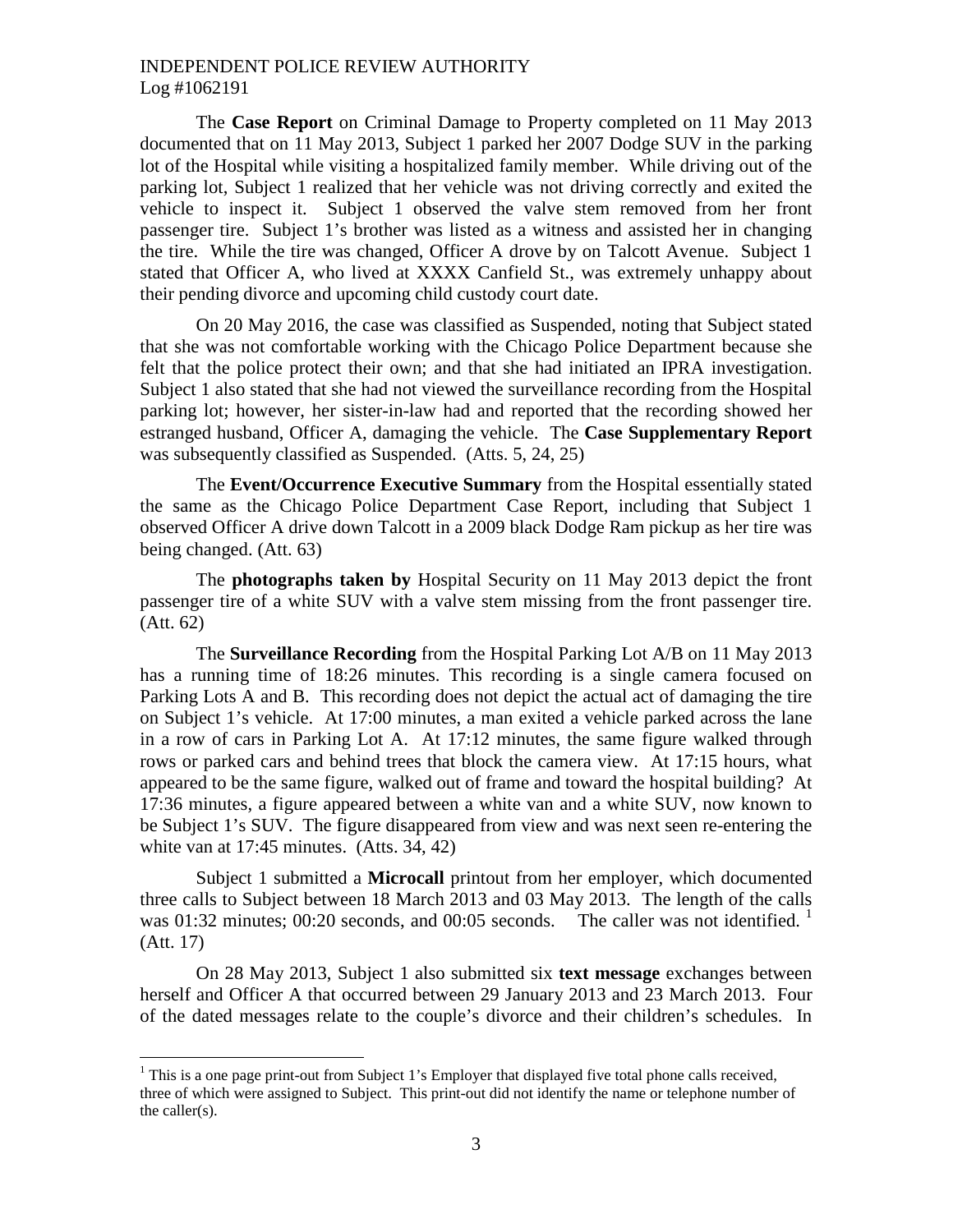The **Case Report** on Criminal Damage to Property completed on 11 May 2013 documented that on 11 May 2013, Subject 1 parked her 2007 Dodge SUV in the parking lot of the Hospital while visiting a hospitalized family member. While driving out of the parking lot, Subject 1 realized that her vehicle was not driving correctly and exited the vehicle to inspect it. Subject 1 observed the valve stem removed from her front passenger tire. Subject 1's brother was listed as a witness and assisted her in changing the tire. While the tire was changed, Officer A drove by on Talcott Avenue. Subject 1 stated that Officer A, who lived at XXXX Canfield St., was extremely unhappy about their pending divorce and upcoming child custody court date.

On 20 May 2016, the case was classified as Suspended, noting that Subject stated that she was not comfortable working with the Chicago Police Department because she felt that the police protect their own; and that she had initiated an IPRA investigation. Subject 1 also stated that she had not viewed the surveillance recording from the Hospital parking lot; however, her sister-in-law had and reported that the recording showed her estranged husband, Officer A, damaging the vehicle. The **Case Supplementary Report** was subsequently classified as Suspended. (Atts. 5, 24, 25)

The **Event/Occurrence Executive Summary** from the Hospital essentially stated the same as the Chicago Police Department Case Report, including that Subject 1 observed Officer A drive down Talcott in a 2009 black Dodge Ram pickup as her tire was being changed. (Att. 63)

The **photographs taken by** Hospital Security on 11 May 2013 depict the front passenger tire of a white SUV with a valve stem missing from the front passenger tire. (Att. 62)

The **Surveillance Recording** from the Hospital Parking Lot A/B on 11 May 2013 has a running time of 18:26 minutes. This recording is a single camera focused on Parking Lots A and B. This recording does not depict the actual act of damaging the tire on Subject 1's vehicle. At 17:00 minutes, a man exited a vehicle parked across the lane in a row of cars in Parking Lot A. At 17:12 minutes, the same figure walked through rows or parked cars and behind trees that block the camera view. At 17:15 hours, what appeared to be the same figure, walked out of frame and toward the hospital building? At 17:36 minutes, a figure appeared between a white van and a white SUV, now known to be Subject 1's SUV. The figure disappeared from view and was next seen re-entering the white van at 17:45 minutes. (Atts. 34, 42)

Subject 1 submitted a **Microcall** printout from her employer, which documented three calls to Subject between 18 March 2013 and 03 May 2013. The length of the calls was 0[1](#page-2-0):32 minutes; 00:20 seconds, and 00:05 seconds. The caller was not identified.  $\frac{1}{1}$ (Att. 17)

On 28 May 2013, Subject 1 also submitted six **text message** exchanges between herself and Officer A that occurred between 29 January 2013 and 23 March 2013. Four of the dated messages relate to the couple's divorce and their children's schedules. In

<span id="page-2-0"></span><sup>&</sup>lt;sup>1</sup> This is a one page print-out from Subject 1's Employer that displayed five total phone calls received, three of which were assigned to Subject. This print-out did not identify the name or telephone number of the caller(s).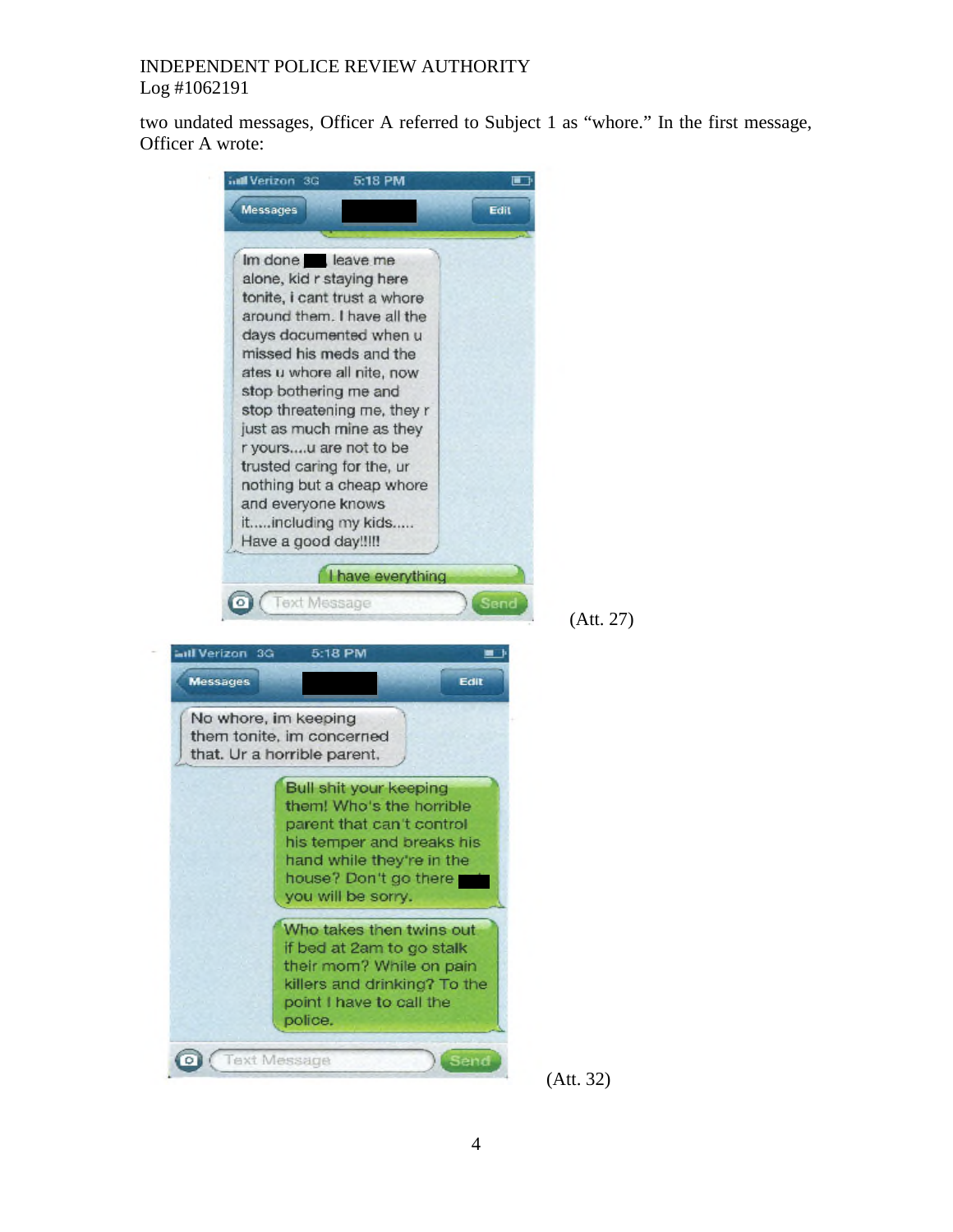two undated messages, Officer A referred to Subject 1 as "whore." In the first message, Officer A wrote:

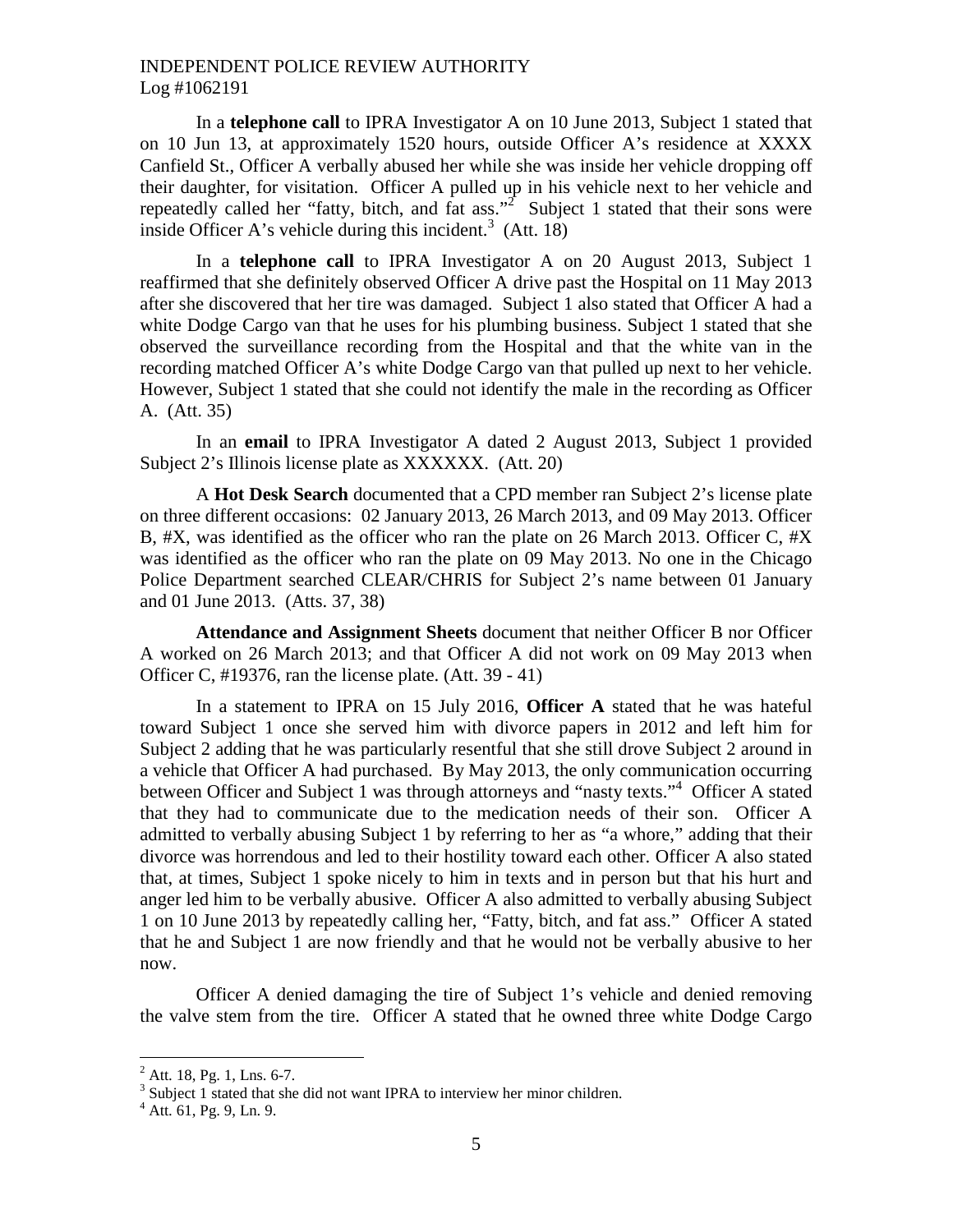In a **telephone call** to IPRA Investigator A on 10 June 2013, Subject 1 stated that on 10 Jun 13, at approximately 1520 hours, outside Officer A's residence at XXXX Canfield St., Officer A verbally abused her while she was inside her vehicle dropping off their daughter, for visitation. Officer A pulled up in his vehicle next to her vehicle and repeatedlycalled her "fatty, bitch, and fat ass."<sup>2</sup> Subject 1 stated that their sons were inside Officer A's vehicle during this incident.<sup>[3](#page-4-1)</sup> (Att. 18)

In a **telephone call** to IPRA Investigator A on 20 August 2013, Subject 1 reaffirmed that she definitely observed Officer A drive past the Hospital on 11 May 2013 after she discovered that her tire was damaged. Subject 1 also stated that Officer A had a white Dodge Cargo van that he uses for his plumbing business. Subject 1 stated that she observed the surveillance recording from the Hospital and that the white van in the recording matched Officer A's white Dodge Cargo van that pulled up next to her vehicle. However, Subject 1 stated that she could not identify the male in the recording as Officer A. (Att. 35)

In an **email** to IPRA Investigator A dated 2 August 2013, Subject 1 provided Subject 2's Illinois license plate as XXXXXX. (Att. 20)

A **Hot Desk Search** documented that a CPD member ran Subject 2's license plate on three different occasions: 02 January 2013, 26 March 2013, and 09 May 2013. Officer B, #X, was identified as the officer who ran the plate on 26 March 2013. Officer C, #X was identified as the officer who ran the plate on 09 May 2013. No one in the Chicago Police Department searched CLEAR/CHRIS for Subject 2's name between 01 January and 01 June 2013. (Atts. 37, 38)

**Attendance and Assignment Sheets** document that neither Officer B nor Officer A worked on 26 March 2013; and that Officer A did not work on 09 May 2013 when Officer C, #19376, ran the license plate. (Att. 39 - 41)

In a statement to IPRA on 15 July 2016, **Officer A** stated that he was hateful toward Subject 1 once she served him with divorce papers in 2012 and left him for Subject 2 adding that he was particularly resentful that she still drove Subject 2 around in a vehicle that Officer A had purchased. By May 2013, the only communication occurring between Officer and Subject 1 was through attorneys and "nasty texts."<sup>[4](#page-4-2)</sup> Officer A stated that they had to communicate due to the medication needs of their son. Officer A admitted to verbally abusing Subject 1 by referring to her as "a whore," adding that their divorce was horrendous and led to their hostility toward each other. Officer A also stated that, at times, Subject 1 spoke nicely to him in texts and in person but that his hurt and anger led him to be verbally abusive. Officer A also admitted to verbally abusing Subject 1 on 10 June 2013 by repeatedly calling her, "Fatty, bitch, and fat ass." Officer A stated that he and Subject 1 are now friendly and that he would not be verbally abusive to her now.

Officer A denied damaging the tire of Subject 1's vehicle and denied removing the valve stem from the tire. Officer A stated that he owned three white Dodge Cargo

<span id="page-4-0"></span> $^{2}$  Att. 18, Pg. 1, Lns. 6-7.

<span id="page-4-2"></span><span id="page-4-1"></span><sup>&</sup>lt;sup>3</sup> Subject 1 stated that she did not want IPRA to interview her minor children.

 $4$  Att. 61, Pg. 9, Ln. 9.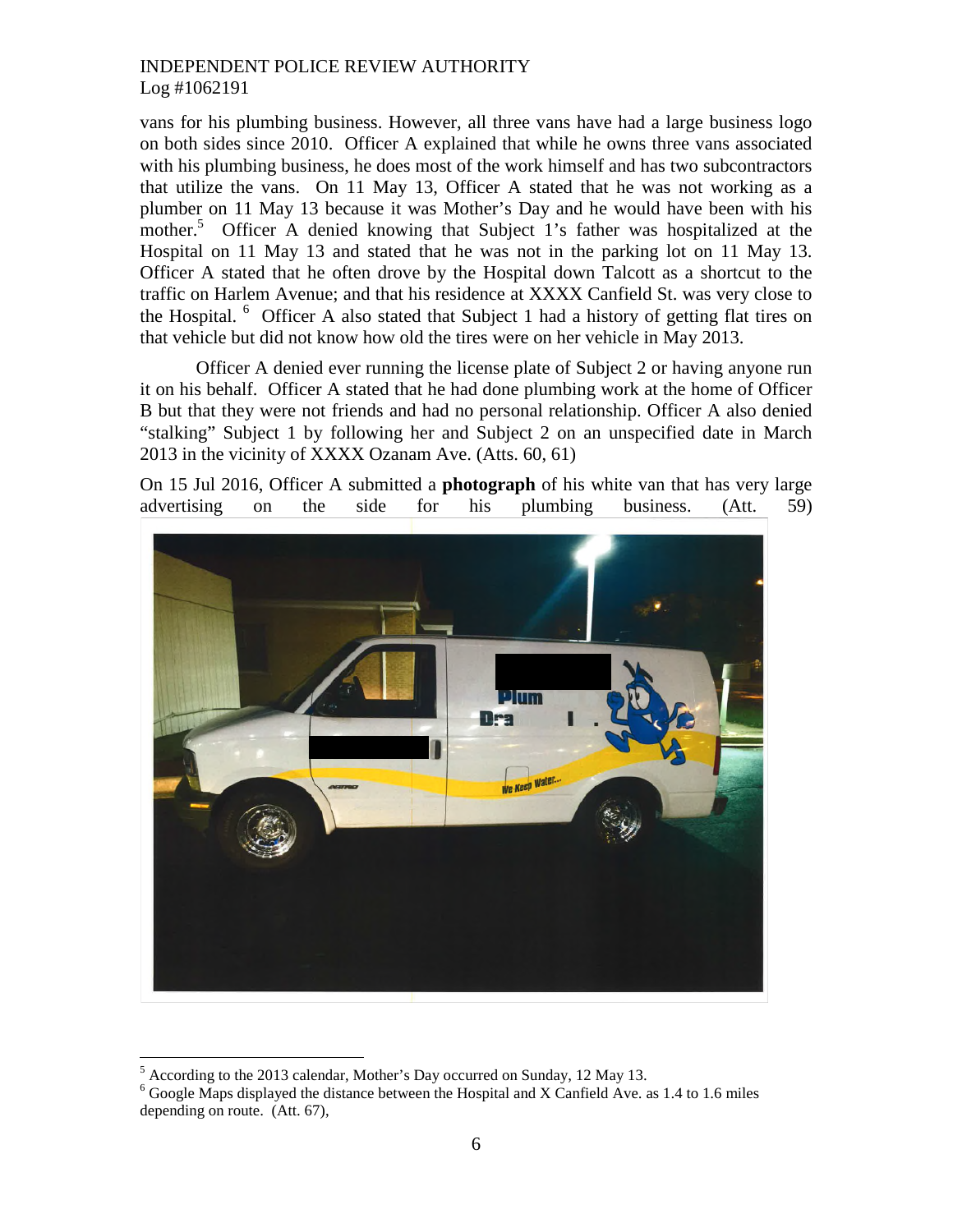vans for his plumbing business. However, all three vans have had a large business logo on both sides since 2010. Officer A explained that while he owns three vans associated with his plumbing business, he does most of the work himself and has two subcontractors that utilize the vans. On 11 May 13, Officer A stated that he was not working as a plumber on 11 May 13 because it was Mother's Day and he would have been with his mother.<sup>[5](#page-5-0)</sup> Officer A denied knowing that Subject 1's father was hospitalized at the Hospital on 11 May 13 and stated that he was not in the parking lot on 11 May 13. Officer A stated that he often drove by the Hospital down Talcott as a shortcut to the traffic on Harlem Avenue; and that his residence at XXXX Canfield St. was very close to the Hospital.  $6\degree$  $6\degree$  Officer A also stated that Subject 1 had a history of getting flat tires on that vehicle but did not know how old the tires were on her vehicle in May 2013.

Officer A denied ever running the license plate of Subject 2 or having anyone run it on his behalf. Officer A stated that he had done plumbing work at the home of Officer B but that they were not friends and had no personal relationship. Officer A also denied "stalking" Subject 1 by following her and Subject 2 on an unspecified date in March 2013 in the vicinity of XXXX Ozanam Ave. (Atts. 60, 61)

On 15 Jul 2016, Officer A submitted a **photograph** of his white van that has very large advertising on the side for his plumbing business. (Att. 59)



<sup>5</sup> According to the 2013 calendar, Mother's Day occurred on Sunday, 12 May 13.

<span id="page-5-1"></span><span id="page-5-0"></span> $6$  Google Maps displayed the distance between the Hospital and X Canfield Ave. as 1.4 to 1.6 miles depending on route. (Att. 67),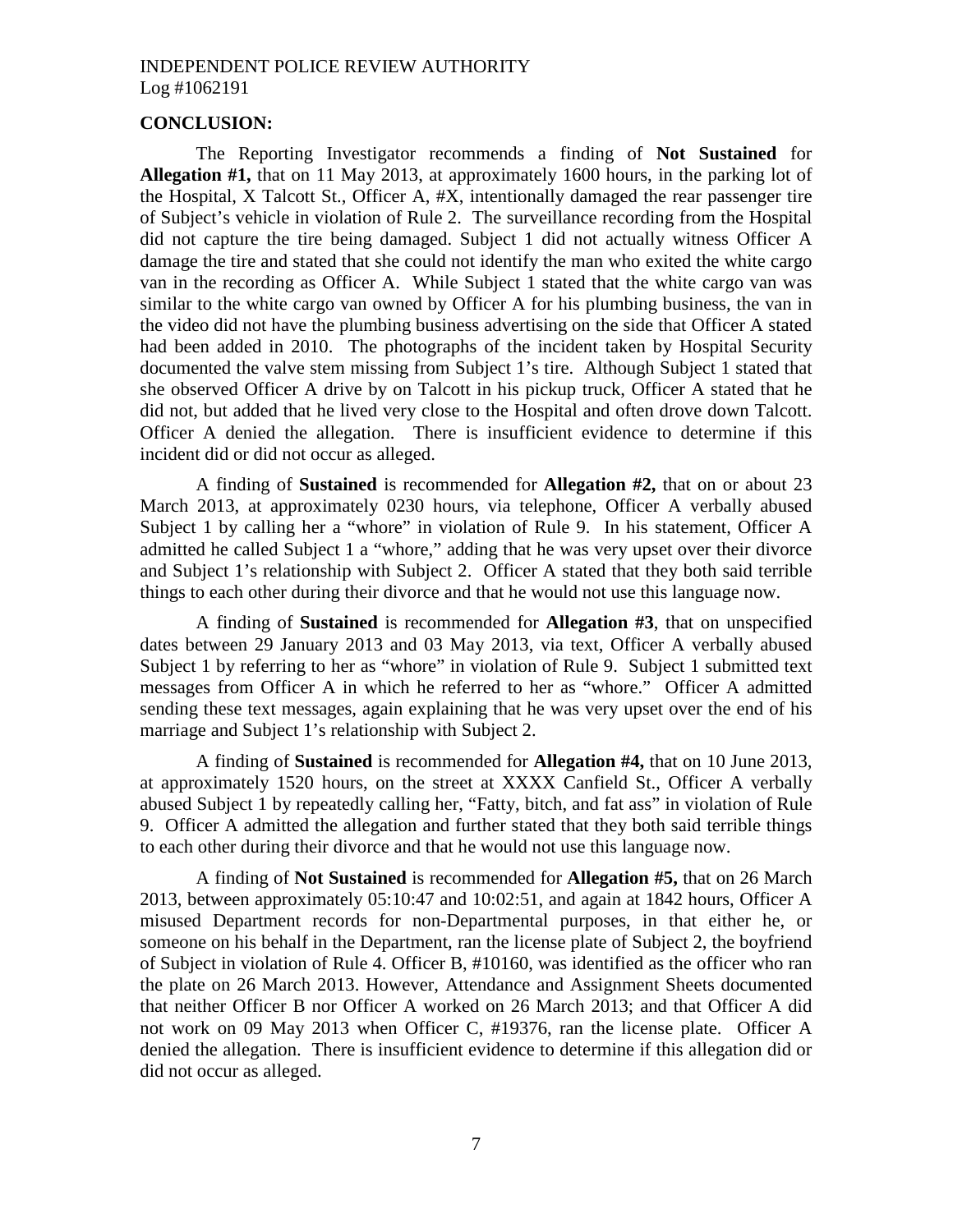## **CONCLUSION:**

The Reporting Investigator recommends a finding of **Not Sustained** for **Allegation #1,** that on 11 May 2013, at approximately 1600 hours, in the parking lot of the Hospital, X Talcott St., Officer A, #X, intentionally damaged the rear passenger tire of Subject's vehicle in violation of Rule 2. The surveillance recording from the Hospital did not capture the tire being damaged. Subject 1 did not actually witness Officer A damage the tire and stated that she could not identify the man who exited the white cargo van in the recording as Officer A. While Subject 1 stated that the white cargo van was similar to the white cargo van owned by Officer A for his plumbing business, the van in the video did not have the plumbing business advertising on the side that Officer A stated had been added in 2010. The photographs of the incident taken by Hospital Security documented the valve stem missing from Subject 1's tire. Although Subject 1 stated that she observed Officer A drive by on Talcott in his pickup truck, Officer A stated that he did not, but added that he lived very close to the Hospital and often drove down Talcott. Officer A denied the allegation. There is insufficient evidence to determine if this incident did or did not occur as alleged.

A finding of **Sustained** is recommended for **Allegation #2,** that on or about 23 March 2013, at approximately 0230 hours, via telephone, Officer A verbally abused Subject 1 by calling her a "whore" in violation of Rule 9. In his statement, Officer A admitted he called Subject 1 a "whore," adding that he was very upset over their divorce and Subject 1's relationship with Subject 2. Officer A stated that they both said terrible things to each other during their divorce and that he would not use this language now.

A finding of **Sustained** is recommended for **Allegation #3**, that on unspecified dates between 29 January 2013 and 03 May 2013, via text, Officer A verbally abused Subject 1 by referring to her as "whore" in violation of Rule 9. Subject 1 submitted text messages from Officer A in which he referred to her as "whore." Officer A admitted sending these text messages, again explaining that he was very upset over the end of his marriage and Subject 1's relationship with Subject 2.

A finding of **Sustained** is recommended for **Allegation #4,** that on 10 June 2013, at approximately 1520 hours, on the street at XXXX Canfield St., Officer A verbally abused Subject 1 by repeatedly calling her, "Fatty, bitch, and fat ass" in violation of Rule 9. Officer A admitted the allegation and further stated that they both said terrible things to each other during their divorce and that he would not use this language now.

A finding of **Not Sustained** is recommended for **Allegation #5,** that on 26 March 2013, between approximately 05:10:47 and 10:02:51, and again at 1842 hours, Officer A misused Department records for non-Departmental purposes, in that either he, or someone on his behalf in the Department, ran the license plate of Subject 2, the boyfriend of Subject in violation of Rule 4. Officer B, #10160, was identified as the officer who ran the plate on 26 March 2013. However, Attendance and Assignment Sheets documented that neither Officer B nor Officer A worked on 26 March 2013; and that Officer A did not work on 09 May 2013 when Officer C, #19376, ran the license plate. Officer A denied the allegation. There is insufficient evidence to determine if this allegation did or did not occur as alleged.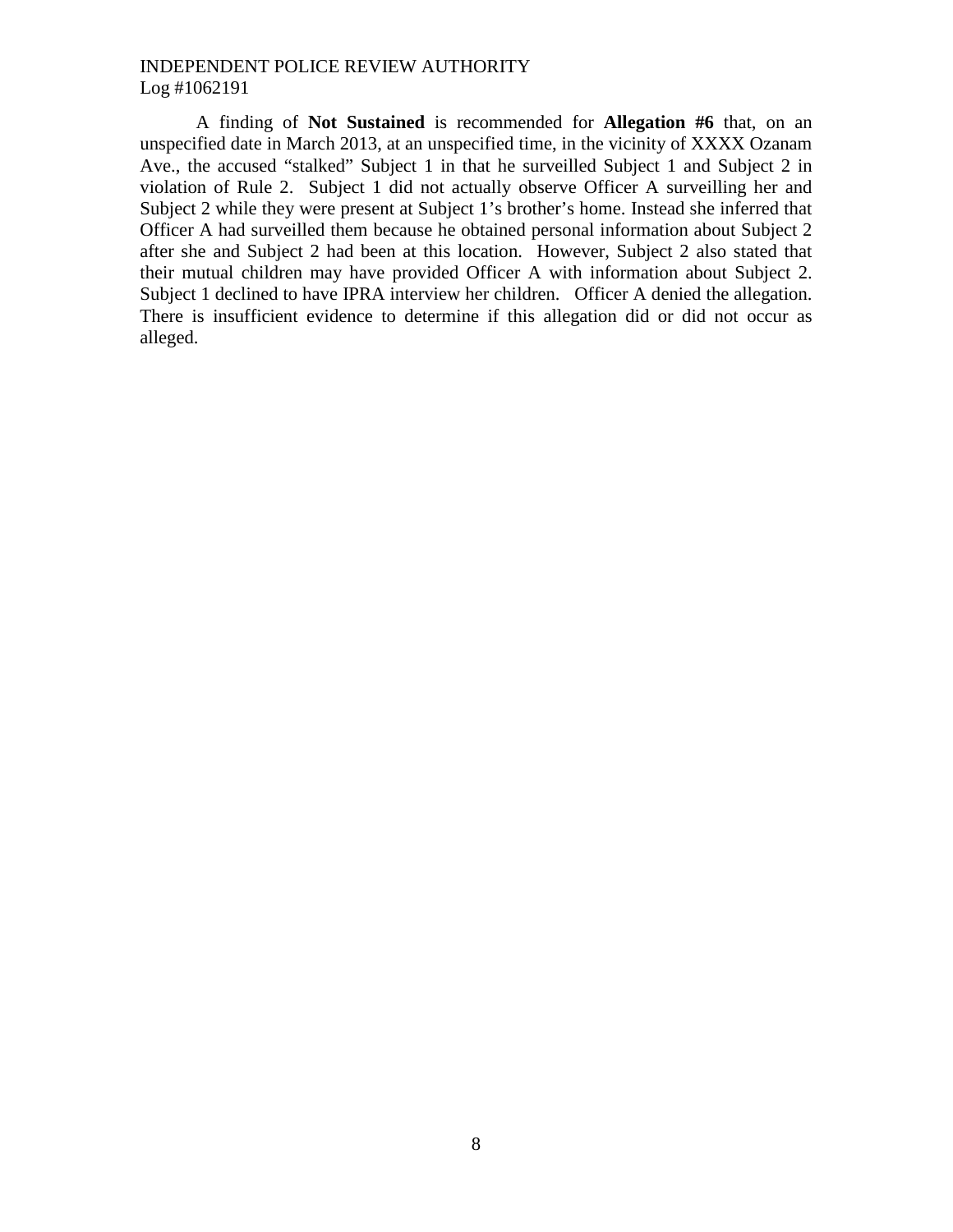A finding of **Not Sustained** is recommended for **Allegation #6** that, on an unspecified date in March 2013, at an unspecified time, in the vicinity of XXXX Ozanam Ave., the accused "stalked" Subject 1 in that he surveilled Subject 1 and Subject 2 in violation of Rule 2. Subject 1 did not actually observe Officer A surveilling her and Subject 2 while they were present at Subject 1's brother's home. Instead she inferred that Officer A had surveilled them because he obtained personal information about Subject 2 after she and Subject 2 had been at this location. However, Subject 2 also stated that their mutual children may have provided Officer A with information about Subject 2. Subject 1 declined to have IPRA interview her children. Officer A denied the allegation. There is insufficient evidence to determine if this allegation did or did not occur as alleged.